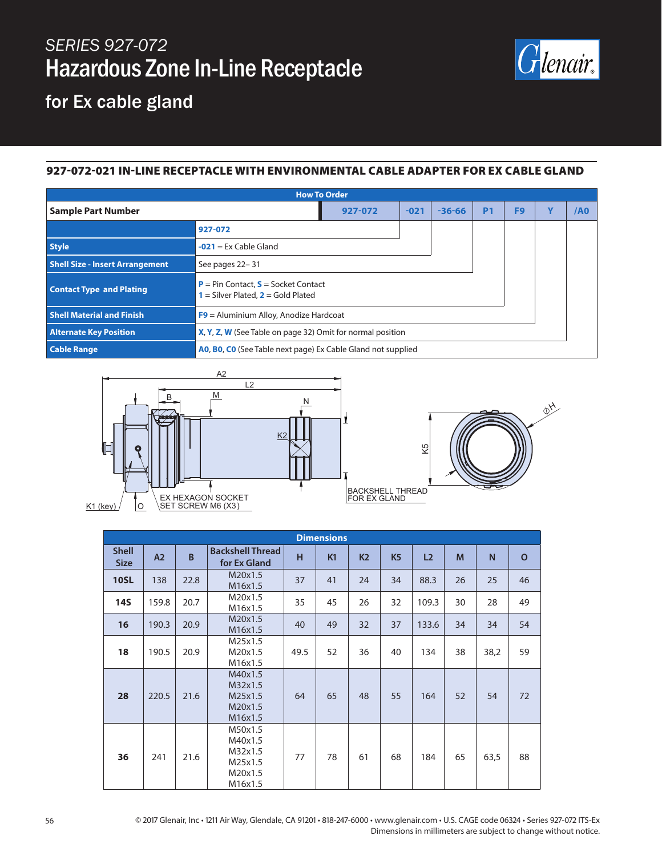# *SERIES 927-072* Hazardous Zone In-Line Receptacle



### for Ex cable gland

#### 927-072-021 IN-LINE RECEPTACLE WITH ENVIRONMENTAL CABLE ADAPTER FOR EX CABLE GLAND

| <b>How To Order</b>                    |                                                                                 |        |            |           |                |             |     |  |
|----------------------------------------|---------------------------------------------------------------------------------|--------|------------|-----------|----------------|-------------|-----|--|
| <b>Sample Part Number</b>              | 927-072                                                                         | $-021$ | $-36 - 66$ | <b>P1</b> | F <sub>9</sub> | $\mathbf v$ | /A0 |  |
|                                        | 927-072                                                                         |        |            |           |                |             |     |  |
| <b>Style</b>                           | $-021$ = Ex Cable Gland                                                         |        |            |           |                |             |     |  |
| <b>Shell Size - Insert Arrangement</b> | See pages 22-31                                                                 |        |            |           |                |             |     |  |
| <b>Contact Type and Plating</b>        | $P = Pin Contact, S = Socket Contact$<br>$1 =$ Silver Plated, $2 =$ Gold Plated |        |            |           |                |             |     |  |
| <b>Shell Material and Finish</b>       | $F9$ = Aluminium Alloy, Anodize Hardcoat                                        |        |            |           |                |             |     |  |
| <b>Alternate Key Position</b>          | X, Y, Z, W (See Table on page 32) Omit for normal position                      |        |            |           |                |             |     |  |
| <b>Cable Range</b>                     | AO, BO, CO (See Table next page) Ex Cable Gland not supplied                    |        |            |           |                |             |     |  |





| <b>Dimensions</b>           |                |                |                                                                |      |    |                |                |                |    |      |              |
|-----------------------------|----------------|----------------|----------------------------------------------------------------|------|----|----------------|----------------|----------------|----|------|--------------|
| <b>Shell</b><br><b>Size</b> | A <sub>2</sub> | $\overline{B}$ | <b>Backshell Thread</b><br>for Ex Gland                        | H    | K1 | K <sub>2</sub> | K <sub>5</sub> | L <sub>2</sub> | M  | N    | $\mathbf{o}$ |
| <b>10SL</b>                 | 138            | 22.8           | M20x1.5<br>M16x1.5                                             | 37   | 41 | 24             | 34             | 88.3           | 26 | 25   | 46           |
| <b>14S</b>                  | 159.8          | 20.7           | M20x1.5<br>M16x1.5                                             | 35   | 45 | 26             | 32             | 109.3          | 30 | 28   | 49           |
| 16                          | 190.3          | 20.9           | M20x1.5<br>M16x1.5                                             | 40   | 49 | 32             | 37             | 133.6          | 34 | 34   | 54           |
| 18                          | 190.5          | 20.9           | M25x1.5<br>M20x1.5<br>M16x1.5                                  | 49.5 | 52 | 36             | 40             | 134            | 38 | 38,2 | 59           |
| 28                          | 220.5          | 21.6           | M40x1.5<br>M32x1.5<br>M25x1.5<br>M20x1.5<br>M16x1.5            | 64   | 65 | 48             | 55             | 164            | 52 | 54   | 72           |
| 36                          | 241            | 21.6           | M50x1.5<br>M40x1.5<br>M32x1.5<br>M25x1.5<br>M20x1.5<br>M16x1.5 | 77   | 78 | 61             | 68             | 184            | 65 | 63,5 | 88           |